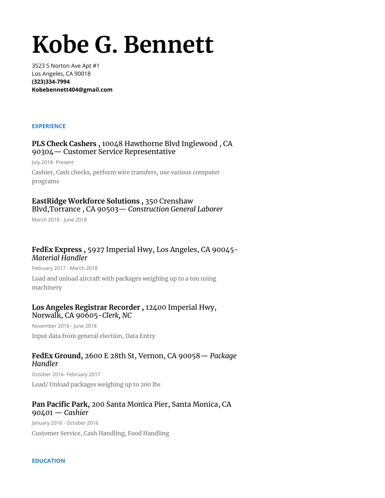# **Kobe G. Bennett**

3523 S Norton Ave Apt #1 Los Angeles, CA 90018 **(323)334-7994 Kobebennett404@gmail.com**

#### **EXPERIENCE**

## **PLS Check Cashers ,** 10048 Hawthorne Blvd Inglewood , CA 90304— Customer Service Representative

July 2018- Present Cashier, Cash checks, perform wire transfers, use various computer programs

# **EastRidge Workforce Solutions ,** 350 Crenshaw Blvd,Torrance , CA 90503— *Construction General Laborer*

March 2018 - June 2018

## **FedEx Express ,** 5927 Imperial Hwy, Los Angeles, CA 90045- *Material Handler*

February 2017 - March 2018

Load and unload aircraft with packages weighing up to a ton using machinery

## **Los Angeles Registrar Recorder ,** 12400 Imperial Hwy, Norwalk, CA 90605-*Clerk, NC*

November 2016 - June 2018 Input data from general election, Data Entry

# **FedEx Ground,** 2600 E 28th St, Vernon, CA 90058— *Package Handler*

October 2016- February 2017 Load/ Unload packages weighing up to 200 lbs

# **Pan Pacific Park,** 200 Santa Monica Pier, Santa Monica, CA 90401 — *Cashier*

January 2016 - October 2016 Customer Service, Cash Handling, Food Handling